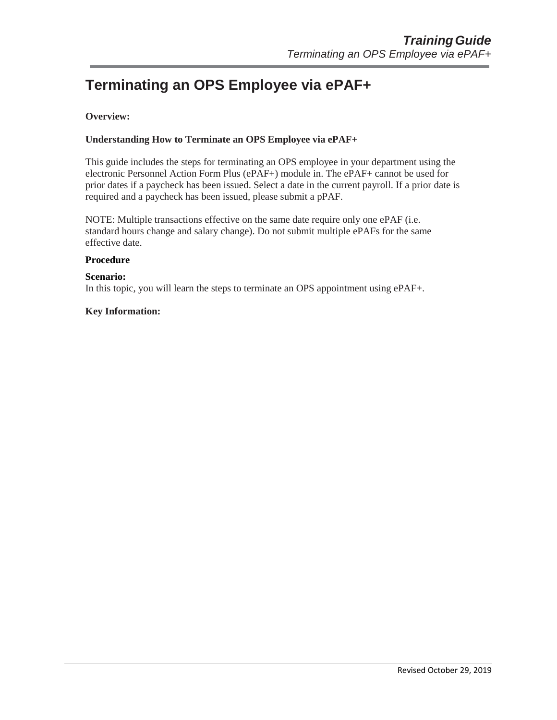# **Terminating an OPS Employee via ePAF+**

## **Overview:**

### **Understanding How to Terminate an OPS Employee via ePAF+**

This guide includes the steps for terminating an OPS employee in your department using the electronic Personnel Action Form Plus (ePAF+) module in. The ePAF+ cannot be used for prior dates if a paycheck has been issued. Select a date in the current payroll. If a prior date is required and a paycheck has been issued, please submit a pPAF.

NOTE: Multiple transactions effective on the same date require only one ePAF (i.e. standard hours change and salary change). Do not submit multiple ePAFs for the same effective date.

#### **Procedure**

#### **Scenario:**

In this topic, you will learn the steps to terminate an OPS appointment using ePAF+.

#### **Key Information:**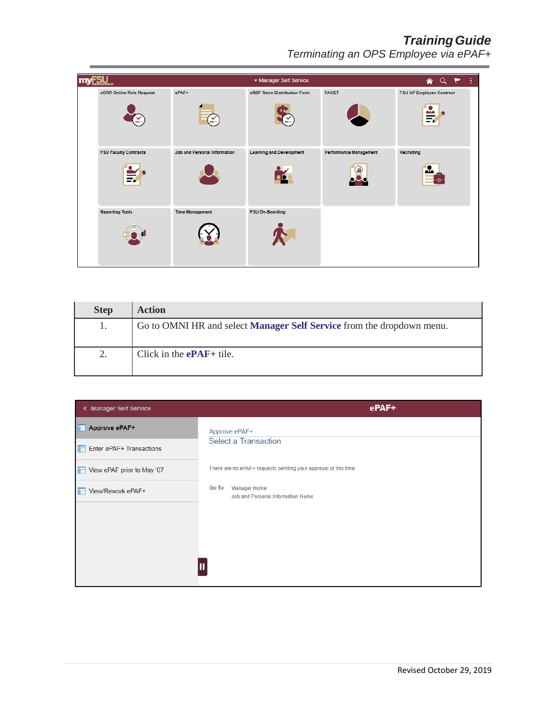# *TrainingGuide*

*Terminating an OPS Employee via ePAF+*

| <b>SU</b>                         |                              | ▼ Manager Self Service          |                               | AQP<br>ŧ.                            |
|-----------------------------------|------------------------------|---------------------------------|-------------------------------|--------------------------------------|
| eORR Online Role Request<br>¥.    | ePAF+<br>¥                   | eRDF Retro Distribution Form    | <b>FACET</b>                  | <b>FSU AP Employee Contract</b><br>₩ |
| <b>FSU Faculty Contracts</b><br>₹ | Job and Personal Information | <b>Learning and Development</b> | <b>Performance Management</b> | Recruiting<br>ala                    |
| <b>Reporting Tools</b>            | <b>Time Management</b>       | <b>FSU On-Boarding</b>          |                               |                                      |

| <b>Step</b> | <b>Action</b>                                                                |
|-------------|------------------------------------------------------------------------------|
|             | Go to OMNI HR and select <b>Manager Self Service</b> from the dropdown menu. |
| 2.          | Click in the $ePAF+$ tile.                                                   |

| < Manager Self Service       | ePAF+                                                             |
|------------------------------|-------------------------------------------------------------------|
| Approve ePAF+<br>F           | Approve ePAF+                                                     |
| $F$ Enter ePAF+ Transactions | <b>Select a Transaction</b>                                       |
| View ePAF prior to May '07   | There are no ePAF+ requests pending your approval at this time.   |
| View/Rework ePAF+            | Go To<br><b>Manager Home</b><br>Job and Personal Information Home |
|                              |                                                                   |
|                              |                                                                   |
|                              |                                                                   |
|                              |                                                                   |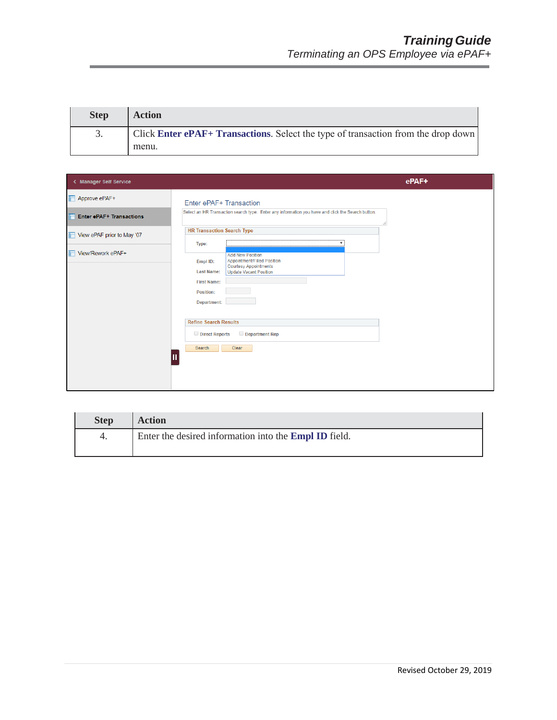| <b>Step</b> | <b>Action</b>                                                                     |
|-------------|-----------------------------------------------------------------------------------|
|             | Click Enter ePAF+ Transactions. Select the type of transaction from the drop down |
|             | menu.                                                                             |

| < Manager Self Service          |                                                                                                                                                                                 | ePAF+ |
|---------------------------------|---------------------------------------------------------------------------------------------------------------------------------------------------------------------------------|-------|
| Approve ePAF+                   | Enter ePAF+ Transaction                                                                                                                                                         |       |
| <b>Enter ePAF+ Transactions</b> | Select an HR Transaction search type. Enter any information you have and click the Search button.                                                                               |       |
| View ePAF prior to May '07      | <b>HR Transaction Search Type</b>                                                                                                                                               |       |
| View/Rework ePAF+               | Type:<br><b>Add New Position</b>                                                                                                                                                |       |
|                                 | Appointment/Filled Position<br>Empl ID:<br><b>Courtesy Appointments</b><br><b>Last Name:</b><br><b>Update Vacant Position</b><br><b>First Name:</b><br>Position:<br>Department: |       |
|                                 | <b>Refine Search Results</b>                                                                                                                                                    |       |
|                                 | Department Rep<br>Direct Reports                                                                                                                                                |       |
|                                 | Search<br>Clear                                                                                                                                                                 |       |
|                                 |                                                                                                                                                                                 |       |

| <b>Step</b> | <b>Action</b>                                                |
|-------------|--------------------------------------------------------------|
|             | Enter the desired information into the <b>Empl ID</b> field. |
|             |                                                              |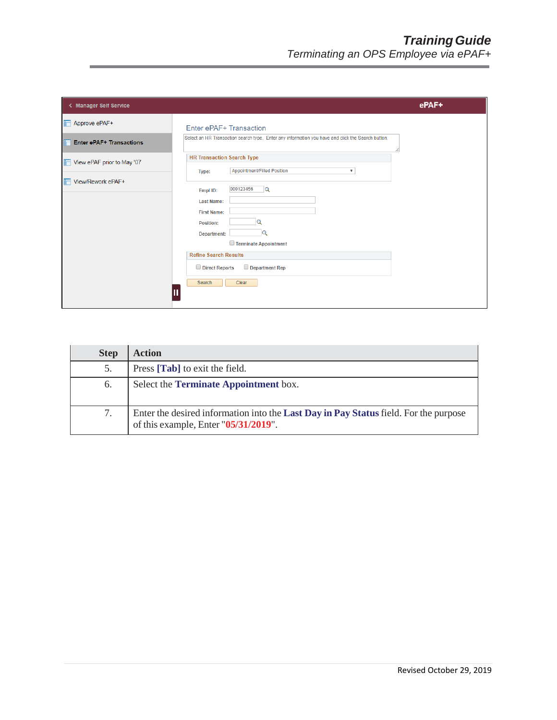| < Manager Self Service          |                                                                                                                                                                                                                          | ePAF+ |
|---------------------------------|--------------------------------------------------------------------------------------------------------------------------------------------------------------------------------------------------------------------------|-------|
| Approve ePAF+                   | Enter ePAF+ Transaction                                                                                                                                                                                                  |       |
| <b>Enter ePAF+ Transactions</b> | Select an HR Transaction search type. Enter any information you have and click the Search button.                                                                                                                        |       |
| View ePAF prior to May '07      | <b>HR Transaction Search Type</b><br>Appointment/Filled Position<br>$\overline{\mathbf{v}}$<br>Type:                                                                                                                     |       |
| View/Rework ePAF+               | 000123456<br>Q<br>Empl ID:<br><b>Last Name:</b><br><b>First Name:</b><br><b>Position:</b><br>Department:<br>Terminate Appointment<br><b>Refine Search Results</b><br>Direct Reports<br>Department Rep<br>Clear<br>Search |       |

| <b>Step</b> | <b>Action</b>                                                                                                                |
|-------------|------------------------------------------------------------------------------------------------------------------------------|
| 5.          | Press [Tab] to exit the field.                                                                                               |
| 6.          | Select the Terminate Appointment box.                                                                                        |
|             | Enter the desired information into the Last Day in Pay Status field. For the purpose<br>of this example, Enter "05/31/2019". |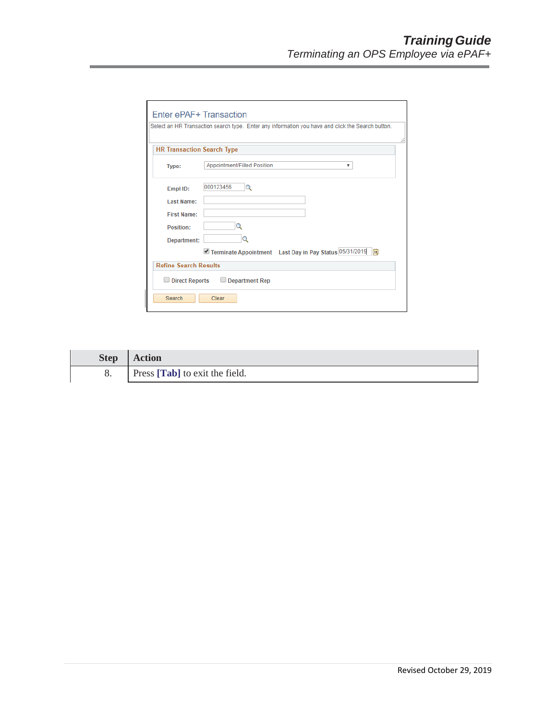| Enter ePAF+ Transaction           |                                                                                                   |   |
|-----------------------------------|---------------------------------------------------------------------------------------------------|---|
|                                   | Select an HR Transaction search type. Enter any information you have and click the Search button. |   |
| <b>HR Transaction Search Type</b> |                                                                                                   | 4 |
| Type:                             | Appointment/Filled Position<br>▼                                                                  |   |
| Empl ID:                          | 000123456<br>Q                                                                                    |   |
| Last Name:                        |                                                                                                   |   |
| <b>First Name:</b>                |                                                                                                   |   |
| Position:                         | O                                                                                                 |   |
| Department:                       | Q                                                                                                 |   |
|                                   | Terminate Appointment Last Day in Pay Status 05/31/2019   3                                       |   |
| <b>Refine Search Results</b>      |                                                                                                   |   |
| $\Box$ Direct Reports             | $\Box$ Department Rep                                                                             |   |
| Search                            | Clear                                                                                             |   |

| <b>Step</b> | <b>Action</b>                  |
|-------------|--------------------------------|
|             | Press [Tab] to exit the field. |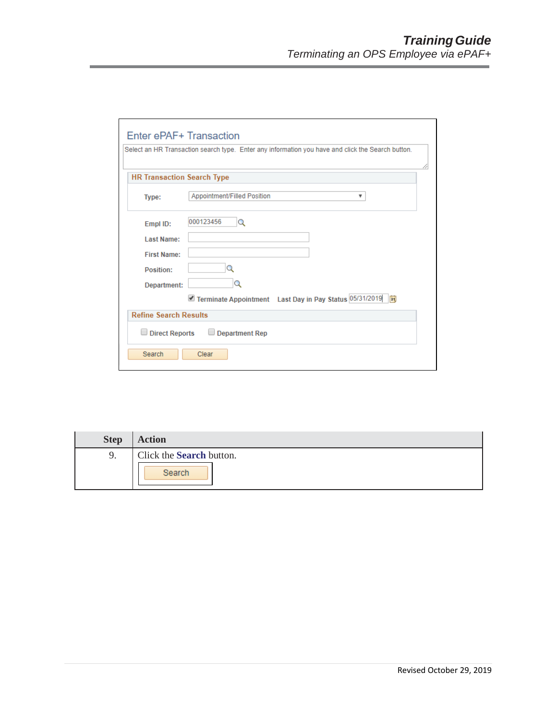| Enter ePAF+ Transaction           |                                                                                                   |  |
|-----------------------------------|---------------------------------------------------------------------------------------------------|--|
|                                   | Select an HR Transaction search type. Enter any information you have and click the Search button. |  |
| <b>HR Transaction Search Type</b> |                                                                                                   |  |
| Type:                             | Appointment/Filled Position<br>v                                                                  |  |
| Empl ID:                          | 000123456<br>Q                                                                                    |  |
| Last Name:                        |                                                                                                   |  |
| <b>First Name:</b>                |                                                                                                   |  |
| Position:                         | Q                                                                                                 |  |
| Department:                       | Q                                                                                                 |  |
|                                   | Terminate Appointment Last Day in Pay Status 05/31/2019<br>Fil                                    |  |
| <b>Refine Search Results</b>      |                                                                                                   |  |
| $\Box$ Direct Reports             | $\Box$ Department Rep                                                                             |  |
| Search                            | Clear                                                                                             |  |

| <b>Step</b> | <b>Action</b>            |
|-------------|--------------------------|
| 9.          | Click the Search button. |
|             | Search                   |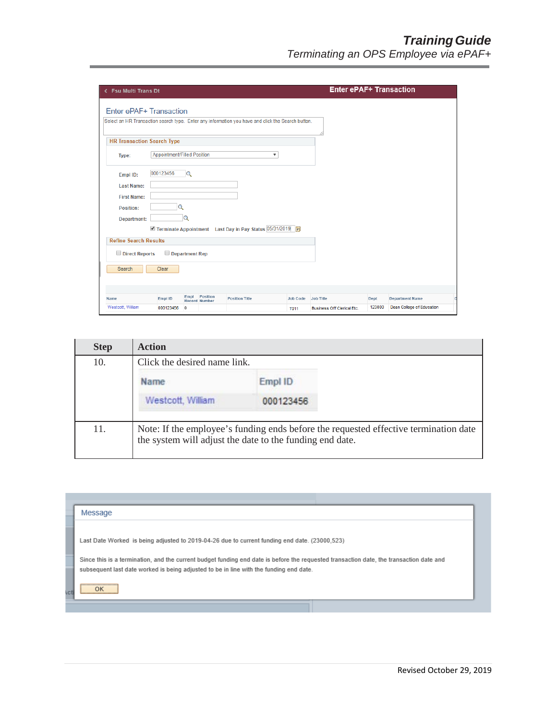| < Fsu Multi Trans Dt              |                                    |                |                                  |                                                                                                   |                         |                                   |        | <b>Enter ePAF+ Transaction</b>   |  |
|-----------------------------------|------------------------------------|----------------|----------------------------------|---------------------------------------------------------------------------------------------------|-------------------------|-----------------------------------|--------|----------------------------------|--|
| Enter ePAF+ Transaction           |                                    |                |                                  |                                                                                                   |                         |                                   |        |                                  |  |
|                                   |                                    |                |                                  | Select an HR Transaction search type. Enter any information you have and click the Search button. |                         |                                   |        |                                  |  |
| <b>HR Transaction Search Type</b> |                                    |                |                                  |                                                                                                   |                         |                                   |        |                                  |  |
| Type:                             | <b>Appointment/Filled Position</b> |                |                                  |                                                                                                   | $\overline{\mathbf{v}}$ |                                   |        |                                  |  |
| Empl ID:                          | 000123456                          | Q              |                                  |                                                                                                   |                         |                                   |        |                                  |  |
| <b>Last Name:</b>                 |                                    |                |                                  |                                                                                                   |                         |                                   |        |                                  |  |
| <b>First Name:</b>                |                                    |                |                                  |                                                                                                   |                         |                                   |        |                                  |  |
| Position:                         |                                    | Q              |                                  |                                                                                                   |                         |                                   |        |                                  |  |
| Department:                       |                                    | Q              |                                  |                                                                                                   |                         |                                   |        |                                  |  |
|                                   |                                    |                |                                  | Terminate Appointment Last Day in Pay Status 05/31/2019 3                                         |                         |                                   |        |                                  |  |
| <b>Refine Search Results</b>      |                                    |                |                                  |                                                                                                   |                         |                                   |        |                                  |  |
| Direct Reports                    |                                    | Department Rep |                                  |                                                                                                   |                         |                                   |        |                                  |  |
| Search                            | Clear                              |                |                                  |                                                                                                   |                         |                                   |        |                                  |  |
|                                   |                                    |                |                                  |                                                                                                   |                         |                                   |        |                                  |  |
| Name                              | Empl ID                            | Empl           | Position<br><b>Record Number</b> | <b>Position Title</b>                                                                             | <b>Job Code</b>         | <b>Job Title</b>                  | Dept   | <b>Department Name</b>           |  |
| Westcott, William                 | 000123456                          | $\overline{0}$ |                                  |                                                                                                   | <b>T011</b>             | <b>Business Off Clerical Etc.</b> | 123000 | <b>Dean College of Education</b> |  |

| <b>Step</b> | <b>Action</b>                |                                                                                                                                                  |
|-------------|------------------------------|--------------------------------------------------------------------------------------------------------------------------------------------------|
| 10.         | Click the desired name link. |                                                                                                                                                  |
|             | Name                         | Empl ID                                                                                                                                          |
|             | Westcott, William            | 000123456                                                                                                                                        |
| 11.         |                              | Note: If the employee's funding ends before the requested effective termination date<br>the system will adjust the date to the funding end date. |

| Message                                                                                                                                 |
|-----------------------------------------------------------------------------------------------------------------------------------------|
|                                                                                                                                         |
| Last Date Worked is being adjusted to 2019-04-26 due to current funding end date. (23000.523)                                           |
| Since this is a termination, and the current budget funding end date is before the requested transaction date, the transaction date and |
| subsequent last date worked is being adjusted to be in line with the funding end date.                                                  |
|                                                                                                                                         |
|                                                                                                                                         |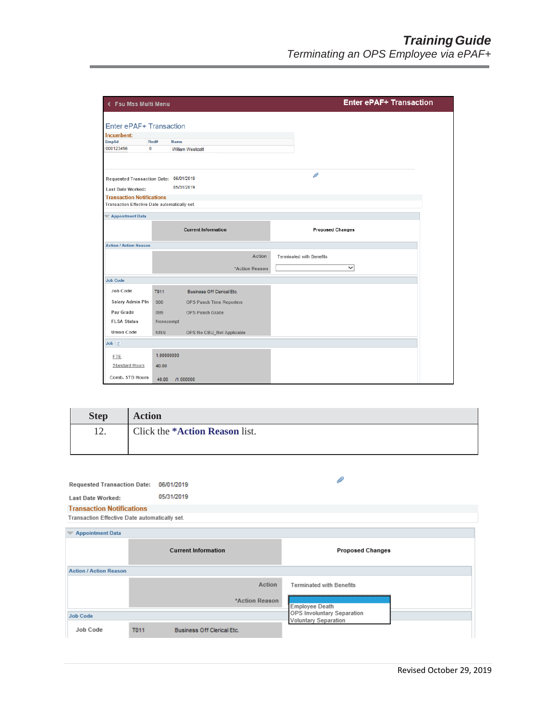| < Fsu Mss Multi Menu                          |                           |                                   | <b>Enter ePAF+ Transaction</b>  |  |  |
|-----------------------------------------------|---------------------------|-----------------------------------|---------------------------------|--|--|
|                                               |                           |                                   |                                 |  |  |
| Enter ePAF+ Transaction                       |                           |                                   |                                 |  |  |
| Incumbent:                                    |                           |                                   |                                 |  |  |
| Emplid<br>000123456                           | Rcd#<br>Name<br>$\bullet$ |                                   |                                 |  |  |
|                                               |                           | <b>William Westcott</b>           |                                 |  |  |
| Requested Transaction Date: 06/01/2019        |                           |                                   | P                               |  |  |
| <b>Last Date Worked:</b>                      |                           | 05/31/2019                        |                                 |  |  |
| <b>Transaction Notifications</b>              |                           |                                   |                                 |  |  |
| Transaction Effective Date automatically set. |                           |                                   |                                 |  |  |
|                                               |                           |                                   |                                 |  |  |
| <b>Appointment Data</b>                       |                           |                                   |                                 |  |  |
|                                               |                           | <b>Current Information</b>        | <b>Proposed Changes</b>         |  |  |
|                                               |                           |                                   |                                 |  |  |
| <b>Action / Action Reason</b>                 |                           |                                   |                                 |  |  |
|                                               |                           | Action                            | <b>Terminated with Benefits</b> |  |  |
|                                               |                           |                                   | $\checkmark$                    |  |  |
|                                               |                           | *Action Reason                    |                                 |  |  |
| <b>Job Code</b>                               |                           |                                   |                                 |  |  |
| Job Code                                      | T011                      | <b>Business Off Clerical Etc.</b> |                                 |  |  |
| Salary Admin Pln                              | 000                       | OPS Punch Time Reporters          |                                 |  |  |
| Pay Grade                                     | 099                       | <b>OPS Punch Grade</b>            |                                 |  |  |
| <b>FLSA Status</b>                            | Nonexempt                 |                                   |                                 |  |  |
| <b>Union Code</b>                             | <b>NNN</b>                | OPS No CBU_Not Applicable         |                                 |  |  |
| Job(?)                                        |                           |                                   |                                 |  |  |
| <b>FTE</b>                                    | 1.00000000                |                                   |                                 |  |  |
|                                               |                           |                                   |                                 |  |  |
| <b>Standard Hours</b>                         | 40.00                     |                                   |                                 |  |  |
| Comb. STD Hours                               | 40.00                     | /1.000000                         |                                 |  |  |

| <b>Step</b> | <b>Action</b>                          |
|-------------|----------------------------------------|
| 12.         | Click the * <b>Action Reason</b> list. |
|             |                                        |

| <b>Requested Transaction Date:</b>            | 06/01/2019                 |                                   |                                                           |
|-----------------------------------------------|----------------------------|-----------------------------------|-----------------------------------------------------------|
| <b>Last Date Worked:</b>                      | 05/31/2019                 |                                   |                                                           |
| <b>Transaction Notifications</b>              |                            |                                   |                                                           |
| Transaction Effective Date automatically set. |                            |                                   |                                                           |
| <b>Appointment Data</b>                       |                            |                                   |                                                           |
|                                               | <b>Current Information</b> |                                   | <b>Proposed Changes</b>                                   |
| <b>Action / Action Reason</b>                 |                            |                                   |                                                           |
|                                               |                            | Action                            | <b>Terminated with Benefits</b>                           |
|                                               |                            | *Action Reason                    | <b>Employee Death</b>                                     |
| <b>Job Code</b>                               |                            |                                   | OPS Involuntary Separation<br><b>Voluntary Separation</b> |
| Job Code                                      | T011                       | <b>Business Off Clerical Etc.</b> |                                                           |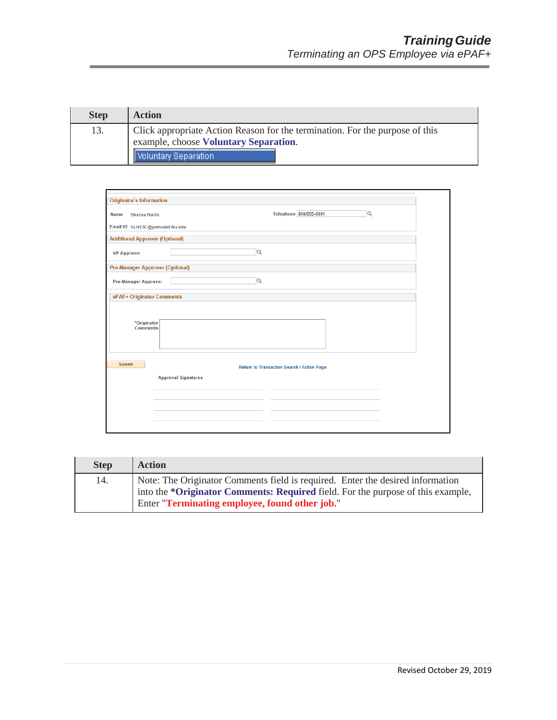| <b>Step</b> | <b>Action</b>                                                                                                         |
|-------------|-----------------------------------------------------------------------------------------------------------------------|
| 13.         | Click appropriate Action Reason for the termination. For the purpose of this<br>example, choose Voluntary Separation. |
|             | Voluntary Separation                                                                                                  |

| <b>Originator's Information</b>        |                                            |
|----------------------------------------|--------------------------------------------|
| Name<br>Shayna Harris                  | Telephone 850/555-0001<br>$\alpha$         |
| Email ID SLH13C@psinvalid.fsu.edu      |                                            |
| <b>Additional Approver (Optional)</b>  |                                            |
| <b>VP Approver</b>                     | $\alpha$                                   |
| <b>Pre-Manager Approver (Optional)</b> |                                            |
| Pre-Manager Approver                   | Q                                          |
| ePAF+ Originator Comments              |                                            |
| *Originator<br>Comments                |                                            |
| Submit                                 | Return to Transaction Search / Action Page |
|                                        | <b>Approval Signatures</b>                 |
|                                        |                                            |
|                                        |                                            |
|                                        |                                            |

| <b>Step</b> | <b>Action</b>                                                                                                                                                                                                       |
|-------------|---------------------------------------------------------------------------------------------------------------------------------------------------------------------------------------------------------------------|
| 14.         | Note: The Originator Comments field is required. Enter the desired information<br>into the *Originator Comments: Required field. For the purpose of this example,<br>Enter "Terminating employee, found other job." |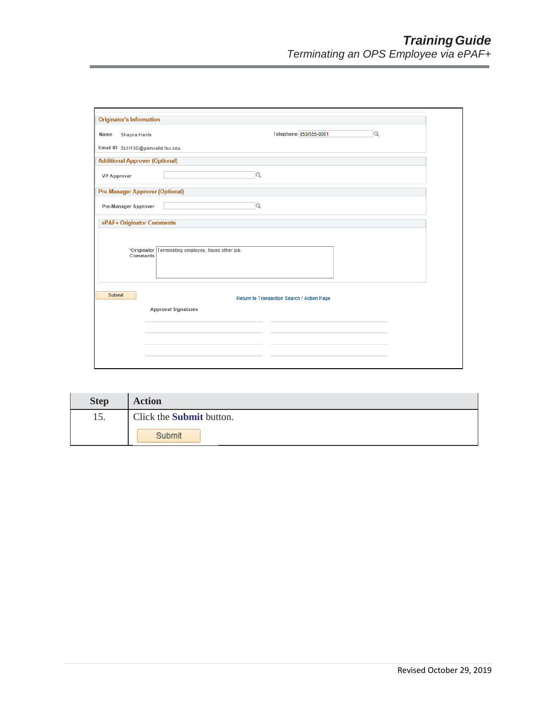| <b>Originator's Information</b>        |                                                                          |
|----------------------------------------|--------------------------------------------------------------------------|
| Shayna Harris<br>Name                  | Telephone 850/555-0001<br>$\alpha$                                       |
| Email ID SLH13C@psinvalid.fsu.edu      |                                                                          |
| <b>Additional Approver (Optional)</b>  |                                                                          |
| <b>VP Approver</b>                     | Q                                                                        |
| <b>Pre-Manager Approver (Optional)</b> |                                                                          |
| Pre-Manager Approver                   | $\alpha$                                                                 |
| ePAF+ Originator Comments              |                                                                          |
| Comments                               | *Originator Terminating employee, found other job.                       |
| Submit                                 | Return to Transaction Search / Action Page<br><b>Approval Signatures</b> |
|                                        |                                                                          |
|                                        |                                                                          |
|                                        |                                                                          |
|                                        |                                                                          |
|                                        |                                                                          |

| <b>Step</b> | <b>Action</b>                   |
|-------------|---------------------------------|
| 15.         | Click the <b>Submit</b> button. |
|             | Submit                          |